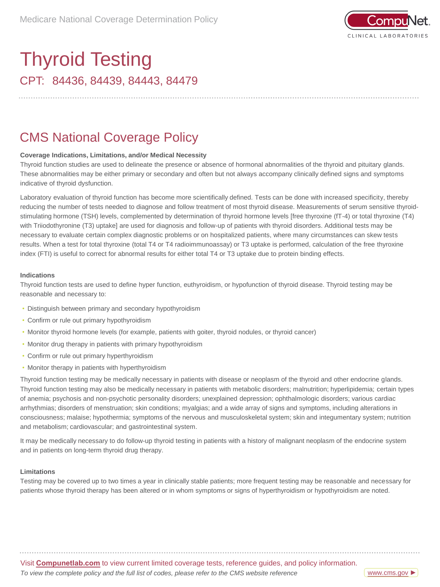

# CPT: 84436, 84439, 84443, 84479 Thyroid Testing

### CMS National Coverage Policy

### **Coverage Indications, Limitations, and/or Medical Necessity**

Thyroid function studies are used to delineate the presence or absence of hormonal abnormalities of the thyroid and pituitary glands. These abnormalities may be either primary or secondary and often but not always accompany clinically defined signs and symptoms indicative of thyroid dysfunction.

Laboratory evaluation of thyroid function has become more scientifically defined. Tests can be done with increased specificity, thereby reducing the number of tests needed to diagnose and follow treatment of most thyroid disease. Measurements of serum sensitive thyroidstimulating hormone (TSH) levels, complemented by determination of thyroid hormone levels [free thyroxine (fT-4) or total thyroxine (T4) with Triiodothyronine (T3) uptake] are used for diagnosis and follow-up of patients with thyroid disorders. Additional tests may be necessary to evaluate certain complex diagnostic problems or on hospitalized patients, where many circumstances can skew tests results. When a test for total thyroxine (total T4 or T4 radioimmunoassay) or T3 uptake is performed, calculation of the free thyroxine index (FTI) is useful to correct for abnormal results for either total T4 or T3 uptake due to protein binding effects.

#### **Indications**

Thyroid function tests are used to define hyper function, euthyroidism, or hypofunction of thyroid disease. Thyroid testing may be reasonable and necessary to:

- Distinguish between primary and secondary hypothyroidism
- Confirm or rule out primary hypothyroidism
- Monitor thyroid hormone levels (for example, patients with goiter, thyroid nodules, or thyroid cancer)
- Monitor drug therapy in patients with primary hypothyroidism
- Confirm or rule out primary hyperthyroidism
- Monitor therapy in patients with hyperthyroidism

Thyroid function testing may be medically necessary in patients with disease or neoplasm of the thyroid and other endocrine glands. Thyroid function testing may also be medically necessary in patients with metabolic disorders; malnutrition; hyperlipidemia; certain types of anemia; psychosis and non-psychotic personality disorders; unexplained depression; ophthalmologic disorders; various cardiac arrhythmias; disorders of menstruation; skin conditions; myalgias; and a wide array of signs and symptoms, including alterations in consciousness; malaise; hypothermia; symptoms of the nervous and musculoskeletal system; skin and integumentary system; nutrition and metabolism; cardiovascular; and gastrointestinal system.

It may be medically necessary to do follow-up thyroid testing in patients with a history of malignant neoplasm of the endocrine system and in patients on long-term thyroid drug therapy.

#### **Limitations**

Testing may be covered up to two times a year in clinically stable patients; more frequent testing may be reasonable and necessary for patients whose thyroid therapy has been altered or in whom symptoms or signs of hyperthyroidism or hypothyroidism are noted.

Visit **Compunetlab.com** to view current limited coverage tests, reference guides, and policy information. *To view the complete policy and the full list of codes, please refer to the CMS website reference*

[www.cms.gov](https://www.questdiagnostics.com/content/dam/corporate/restricted/documents/mlcp/mlcp/icd-10-ncd-manual/2020300_ICD_10_NCD_Manual_20200407_508.pdf) ►